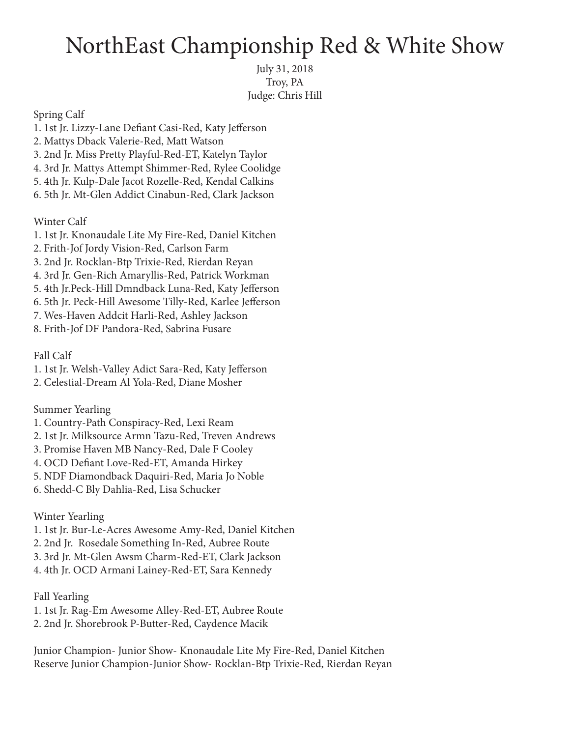## NorthEast Championship Red & White Show

July 31, 2018 Troy, PA Judge: Chris Hill

Spring Calf

- 1. 1st Jr. Lizzy-Lane Defiant Casi-Red, Katy Jefferson
- 2. Mattys Dback Valerie-Red, Matt Watson
- 3. 2nd Jr. Miss Pretty Playful-Red-ET, Katelyn Taylor
- 4. 3rd Jr. Mattys Attempt Shimmer-Red, Rylee Coolidge
- 5. 4th Jr. Kulp-Dale Jacot Rozelle-Red, Kendal Calkins
- 6. 5th Jr. Mt-Glen Addict Cinabun-Red, Clark Jackson

Winter Calf

- 1. 1st Jr. Knonaudale Lite My Fire-Red, Daniel Kitchen
- 2. Frith-Jof Jordy Vision-Red, Carlson Farm
- 3. 2nd Jr. Rocklan-Btp Trixie-Red, Rierdan Reyan
- 4. 3rd Jr. Gen-Rich Amaryllis-Red, Patrick Workman
- 5. 4th Jr.Peck-Hill Dmndback Luna-Red, Katy Jefferson
- 6. 5th Jr. Peck-Hill Awesome Tilly-Red, Karlee Jefferson
- 7. Wes-Haven Addcit Harli-Red, Ashley Jackson
- 8. Frith-Jof DF Pandora-Red, Sabrina Fusare

Fall Calf

- 1. 1st Jr. Welsh-Valley Adict Sara-Red, Katy Jefferson
- 2. Celestial-Dream Al Yola-Red, Diane Mosher

## Summer Yearling

- 1. Country-Path Conspiracy-Red, Lexi Ream
- 2. 1st Jr. Milksource Armn Tazu-Red, Treven Andrews
- 3. Promise Haven MB Nancy-Red, Dale F Cooley
- 4. OCD Defiant Love-Red-ET, Amanda Hirkey
- 5. NDF Diamondback Daquiri-Red, Maria Jo Noble
- 6. Shedd-C Bly Dahlia-Red, Lisa Schucker

Winter Yearling

- 1. 1st Jr. Bur-Le-Acres Awesome Amy-Red, Daniel Kitchen
- 2. 2nd Jr. Rosedale Something In-Red, Aubree Route
- 3. 3rd Jr. Mt-Glen Awsm Charm-Red-ET, Clark Jackson
- 4. 4th Jr. OCD Armani Lainey-Red-ET, Sara Kennedy

Fall Yearling

- 1. 1st Jr. Rag-Em Awesome Alley-Red-ET, Aubree Route
- 2. 2nd Jr. Shorebrook P-Butter-Red, Caydence Macik

Junior Champion- Junior Show- Knonaudale Lite My Fire-Red, Daniel Kitchen Reserve Junior Champion-Junior Show- Rocklan-Btp Trixie-Red, Rierdan Reyan